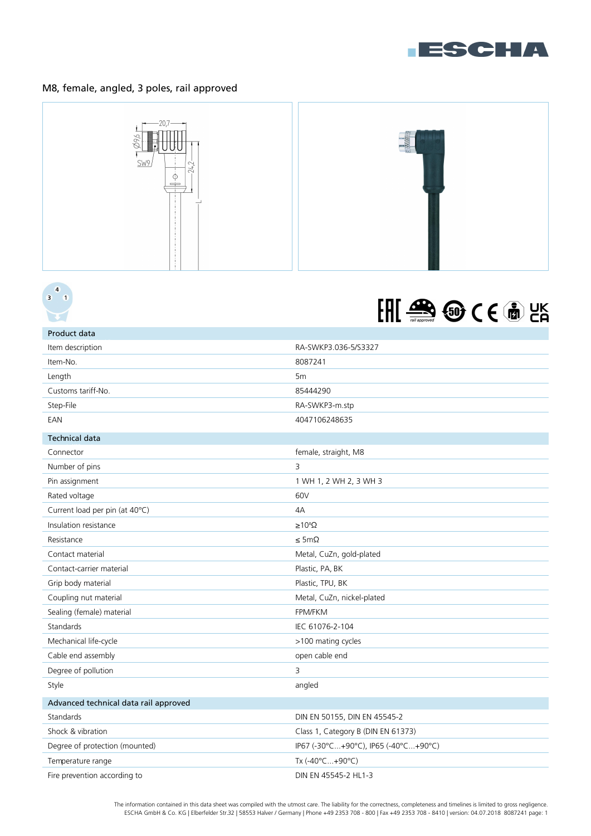

## M8, female, angled, 3 poles, rail approved







| Product data                          |                                      |
|---------------------------------------|--------------------------------------|
| Item description                      | RA-SWKP3.036-5/S3327                 |
| Item-No.                              | 8087241                              |
| Length                                | 5 <sub>m</sub>                       |
| Customs tariff-No.                    | 85444290                             |
| Step-File                             | RA-SWKP3-m.stp                       |
| EAN                                   | 4047106248635                        |
| <b>Technical data</b>                 |                                      |
| Connector                             | female, straight, M8                 |
| Number of pins                        | 3                                    |
| Pin assignment                        | 1 WH 1, 2 WH 2, 3 WH 3               |
| Rated voltage                         | 60V                                  |
| Current load per pin (at 40°C)        | 4A                                   |
| Insulation resistance                 | $\geq 10^8 \Omega$                   |
| Resistance                            | $\leq 5 \text{m}\Omega$              |
| Contact material                      | Metal, CuZn, gold-plated             |
| Contact-carrier material              | Plastic, PA, BK                      |
| Grip body material                    | Plastic, TPU, BK                     |
| Coupling nut material                 | Metal, CuZn, nickel-plated           |
| Sealing (female) material             | <b>FPM/FKM</b>                       |
| Standards                             | IEC 61076-2-104                      |
| Mechanical life-cycle                 | >100 mating cycles                   |
| Cable end assembly                    | open cable end                       |
| Degree of pollution                   | 3                                    |
| Style                                 | angled                               |
| Advanced technical data rail approved |                                      |
| Standards                             | DIN EN 50155, DIN EN 45545-2         |
| Shock & vibration                     | Class 1, Category B (DIN EN 61373)   |
| Degree of protection (mounted)        | IP67 (-30°C+90°C), IP65 (-40°C+90°C) |
| Temperature range                     | Tx (-40°C+90°C)                      |
| Fire prevention according to          | DIN EN 45545-2 HL1-3                 |
|                                       |                                      |